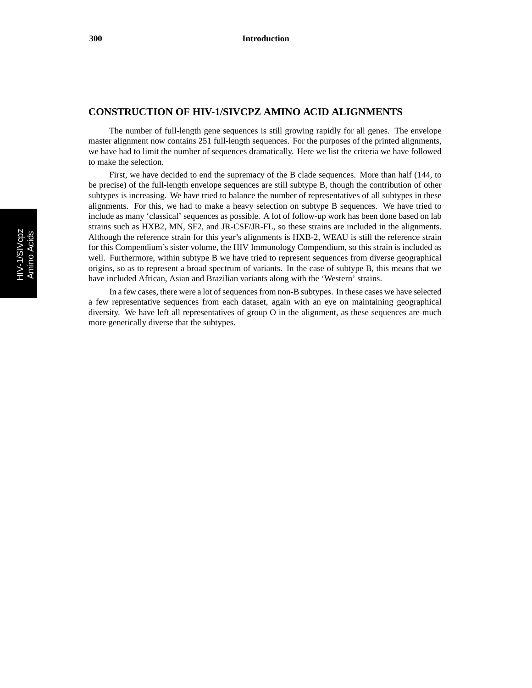## **CONSTRUCTION OF HIV-1/SIVCPZ AMINO ACID ALIGNMENTS**

The number of full-length gene sequences is still growing rapidly for all genes. The envelope master alignment now contains 251 full-length sequences. For the purposes of the printed alignments, we have had to limit the number of sequences dramatically. Here we list the criteria we have followed to make the selection.

First, we have decided to end the supremacy of the B clade sequences. More than half (144, to be precise) of the full-length envelope sequences are still subtype B, though the contribution of other subtypes is increasing. We have tried to balance the number of representatives of all subtypes in these alignments. For this, we had to make a heavy selection on subtype B sequences. We have tried to include as many 'classical' sequences as possible. A lot of follow-up work has been done based on lab strains such as HXB2, MN, SF2, and JR-CSF/JR-FL, so these strains are included in the alignments. Although the reference strain for this year's alignments is HXB-2, WEAU is still the reference strain for this Compendium's sister volume, the HIV Immunology Compendium, so this strain is included as well. Furthermore, within subtype B we have tried to represent sequences from diverse geographical origins, so as to represent a broad spectrum of variants. In the case of subtype B, this means that we have included African, Asian and Brazilian variants along with the 'Western' strains.

In a few cases, there were a lot of sequences from non-B subtypes. In these cases we have selected a few representative sequences from each dataset, again with an eye on maintaining geographical diversity. We have left all representatives of group O in the alignment, as these sequences are much more genetically diverse that the subtypes.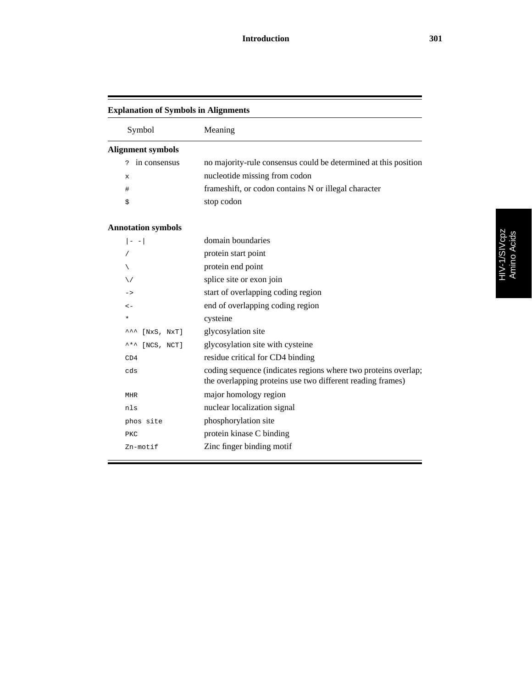| <b>Explanation of Symbols in Alignments</b> |                                                                                                                              |  |
|---------------------------------------------|------------------------------------------------------------------------------------------------------------------------------|--|
| Symbol                                      | Meaning                                                                                                                      |  |
| <b>Alignment symbols</b>                    |                                                                                                                              |  |
| in consensus<br>Ċ.                          | no majority-rule consensus could be determined at this position                                                              |  |
| X                                           | nucleotide missing from codon                                                                                                |  |
| #                                           | frameshift, or codon contains N or illegal character                                                                         |  |
| \$                                          | stop codon                                                                                                                   |  |
| <b>Annotation symbols</b>                   |                                                                                                                              |  |
| $  - -  $                                   | domain boundaries                                                                                                            |  |
|                                             | protein start point                                                                                                          |  |
|                                             | protein end point                                                                                                            |  |
| ∨                                           | splice site or exon join                                                                                                     |  |
| ->                                          | start of overlapping coding region                                                                                           |  |
| $\lt$ $-$                                   | end of overlapping coding region                                                                                             |  |
| $\ast$                                      | cysteine                                                                                                                     |  |
| [NxS, NxT]<br>ᆺᆺ                            | glycosylation site                                                                                                           |  |
| [NCS, NCT]                                  | glycosylation site with cysteine                                                                                             |  |
| CD4                                         | residue critical for CD4 binding                                                                                             |  |
| cds                                         | coding sequence (indicates regions where two proteins overlap;<br>the overlapping proteins use two different reading frames) |  |
| <b>MHR</b>                                  | major homology region                                                                                                        |  |
| nls                                         | nuclear localization signal                                                                                                  |  |
| phos site                                   | phosphorylation site                                                                                                         |  |
| PKC                                         | protein kinase C binding                                                                                                     |  |
| Zn-motif                                    | Zinc finger binding motif                                                                                                    |  |